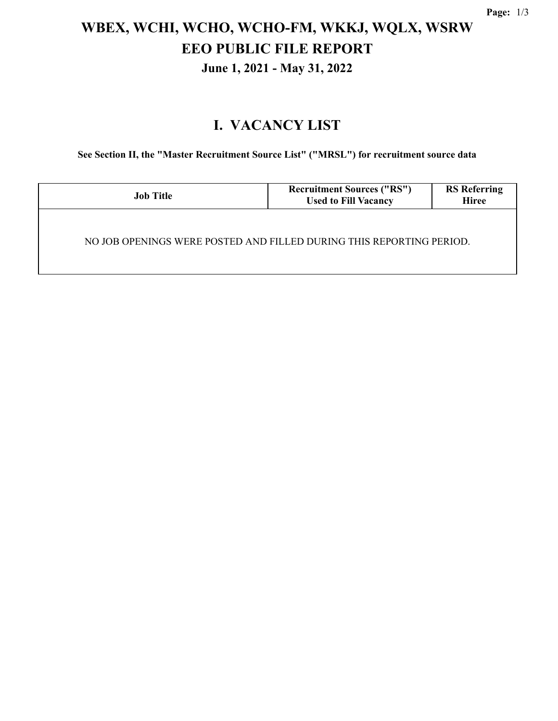# **WBEX, WCHI, WCHO, WCHO-FM, WKKJ, WQLX, WSRW EEO PUBLIC FILE REPORT June 1, 2021 - May 31, 2022**

### **I. VACANCY LIST**

**See Section II, the "Master Recruitment Source List" ("MRSL") for recruitment source data**

| <b>Job Title</b>                                                     | <b>Recruitment Sources ("RS")</b><br><b>Used to Fill Vacancy</b> | <b>RS Referring</b><br><b>Hiree</b> |  |  |  |
|----------------------------------------------------------------------|------------------------------------------------------------------|-------------------------------------|--|--|--|
| NO JOB OPENINGS WERE POSTED AND FILLED DURING THIS REPORTING PERIOD. |                                                                  |                                     |  |  |  |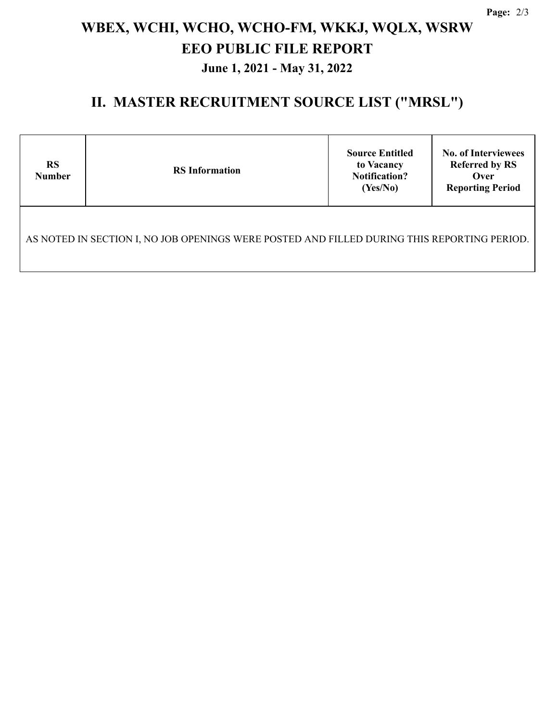# **WBEX, WCHI, WCHO, WCHO-FM, WKKJ, WQLX, WSRW EEO PUBLIC FILE REPORT June 1, 2021 - May 31, 2022**

#### **II. MASTER RECRUITMENT SOURCE LIST ("MRSL")**

| <b>RS</b><br><b>Number</b>                                                                  | <b>RS</b> Information | <b>Source Entitled</b><br>to Vacancy<br><b>Notification?</b><br>(Yes/No) | <b>No. of Interviewees</b><br><b>Referred by RS</b><br>Over<br><b>Reporting Period</b> |  |  |  |  |
|---------------------------------------------------------------------------------------------|-----------------------|--------------------------------------------------------------------------|----------------------------------------------------------------------------------------|--|--|--|--|
| AS NOTED IN SECTION I, NO JOB OPENINGS WERE POSTED AND FILLED DURING THIS REPORTING PERIOD. |                       |                                                                          |                                                                                        |  |  |  |  |